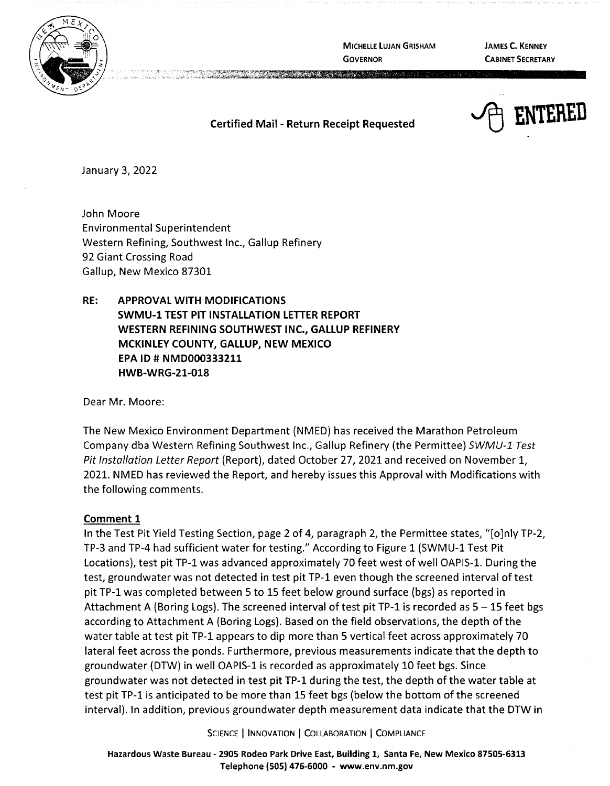

**MICHELLE LUJAN GRISHAM GOVERNOR** 

**JAMES C. KENNEY CABINET SECRETARY** 

~ **ENTERED** 

### **Certified Mail** - **Return Receipt Requested**

**CONTRACTORS OF STATISTICS** 

January 3, 2022

John Moore Environmental Superintendent Western Refining, Southwest Inc., Gallup Refinery 92 Giant Crossing Road Gallup, New Mexico 87301

**RE: APPROVAL WITH MODIFICATIONS SWMU-1 TEST PIT INSTALLATION LETTER REPORT WESTERN REFINING SOUTHWEST INC., GALLUP REFINERY MCKINLEY COUNTY, GALLUP, NEW MEXICO EPA** ID# **NMD000333211 HWB-WRG-21-018** 

Dear Mr. Moore:

The New Mexico Environment Department (NMED) has received the Marathon Petroleum Company dba Western Refining Southwest Inc., Gallup Refinery (the Permittee) SWMU-1 Test Pit Installation Letter Report (Report), dated October 27, 2021 and received on November 1, 2021. NMED has reviewed the Report, and hereby issues this Approval with Modifications with the following comments.

### **Comment 1**

In the Test Pit Yield Testing Section, page 2 of 4, paragraph 2, the Permittee states, "[o]nly TP-2, TP-3 and TP-4 had sufficient water for testing." According to Figure 1 (SWMU-1 Test Pit Locations), test pit TP-1 was advanced approximately 70 feet west of well OAPIS-1. During the test, groundwater was not detected in test pit TP-1 even though the screened interval oftest pit TP-1 was completed between 5 to 15 feet below ground surface (bgs) as reported in Attachment A (Boring Logs). The screened interval of test pit TP-1 is recorded as  $5 - 15$  feet bgs according to Attachment A (Boring Logs). Based on the field observations, the depth of the water table at test pit TP-1 appears to dip more than 5 vertical feet across approximately 70 lateral feet across the ponds. Furthermore, previous measurements indicate that the depth to groundwater (DTW) in well OAPIS-1 is recorded as approximately 10 feet bgs. Since groundwater was not detected in test pit TP-1 during the test, the depth of the water table at test pit TP-1 is anticipated to be more than 15 feet bgs (below the bottom of the screened interval). In addition, previous groundwater depth measurement data indicate that the DTW in

SCIENCE | INNOVATION | COLLABORATION | COMPLIANCE

**Hazardous Waste Bureau** - **290S Rodeo Park Drive East, Building 1, Santa Fe, New Mexico 87505-6313 Telephone (SOS) 476-6000** - **www.env.nm.gov**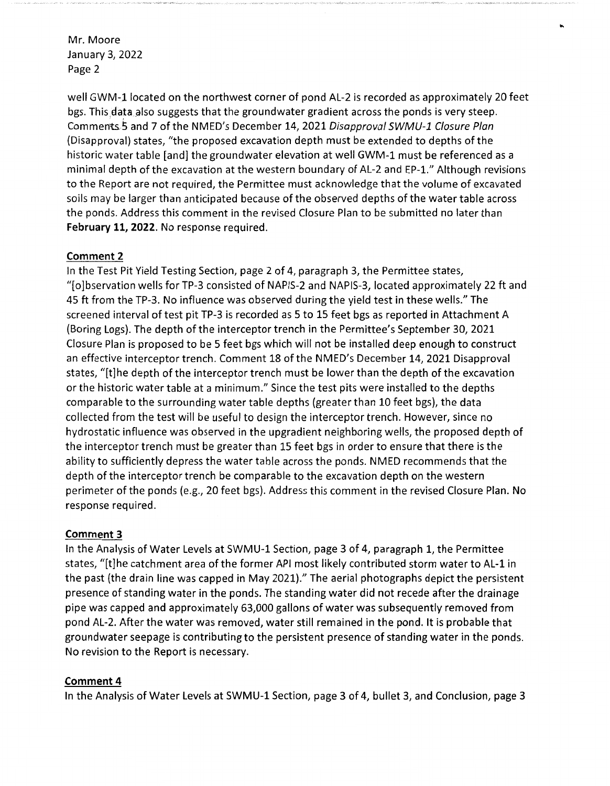Mr. Moore January 3, 2022 Page 2

well GWM-l located on the northwest corner of pond AL-2 is recorded as approximately 20 feet bgs. This data also suggests that the groundwater gradient across the ponds is very steep. Comments5 and 7 of the NMED's December 14, 2021 Disapproval SWMU-1 Closure Plan (Disapproval) states, "the proposed excavation depth must be extended to depths of the historic water table [and] the groundwater elevation at well GWM-1 must be referenced as a minimal depth of the excavation at the western boundary of AL-2 and EP-1." Although revisions to the Report are not required, the Permittee must acknowledge that the volume of excavated soils may be larger than anticipated because of the observed depths of the water table across the ponds. Address this comment in the revised Closure Plan to be submitted no later than **February 11, 2022.** No response required.

# **Comment 2**

In the Test Pit Yield Testing Section, page 2 of 4, paragraph 3, the Permittee states, "[o]bservation wells for TP-3 consisted of NAPIS-2 and NAPIS-3, located approximately 22 ft and 45 ft from the TP-3. No influence was observed during the yield test in these wells." The screened interval of test pit TP-3 is recorded as 5 to 15 feet bgs as reported in Attachment A (Boring Logs). The depth of the interceptor trench in the Permittee's September 30, 2021 Closure Plan is proposed to be 5 feet bgs which will not be installed deep enough to construct an effective interceptor trench. Comment 18 of the NMED's December 14, 2021 Disapproval states, "[t]he depth of the interceptor trench must be lower than the depth of the excavation or the historic water table at a minimum." Since the test pits were installed to the depths comparable to the surrounding water table depths (greater than 10 feet bgs), the data collected from the test will be useful to design the interceptor trench. However, since no hydrostatic influence was observed in the upgradient neighboring wells, the proposed depth of the interceptor trench must be greater than 15 feet bgs in order to ensure that there is the ability to sufficiently depress the water table across the ponds. NMED recommends that the depth of the interceptor trench be comparable to the excavation depth on the western perimeter of the ponds (e.g., 20 feet bgs). Address this comment in the revised Closure Plan. No response required.

# **Comment 3**

In the Analysis of Water Levels at SWMU-1 Section, page 3 of 4, paragraph 1, the Permittee states, "[t]he catchment area of the former API most likely contributed storm water to AL-1 in the past (the drain line was capped in May 2021)." The aerial photographs depict the persistent presence of standing water in the ponds. The standing water did not recede after the drainage pipe was capped and approximately 63,000 gallons of water was subsequently removed from pond AL-2. After the water was removed, water still remained in the pond. It is probable that groundwater seepage is contributing to the persistent presence of standing water in the ponds. No revision to the Report is necessary.

# **Comment4**

In the Analysis of Water Levels at SWMU-1 Section, page 3 of 4, bullet 3, and Conclusion, page 3